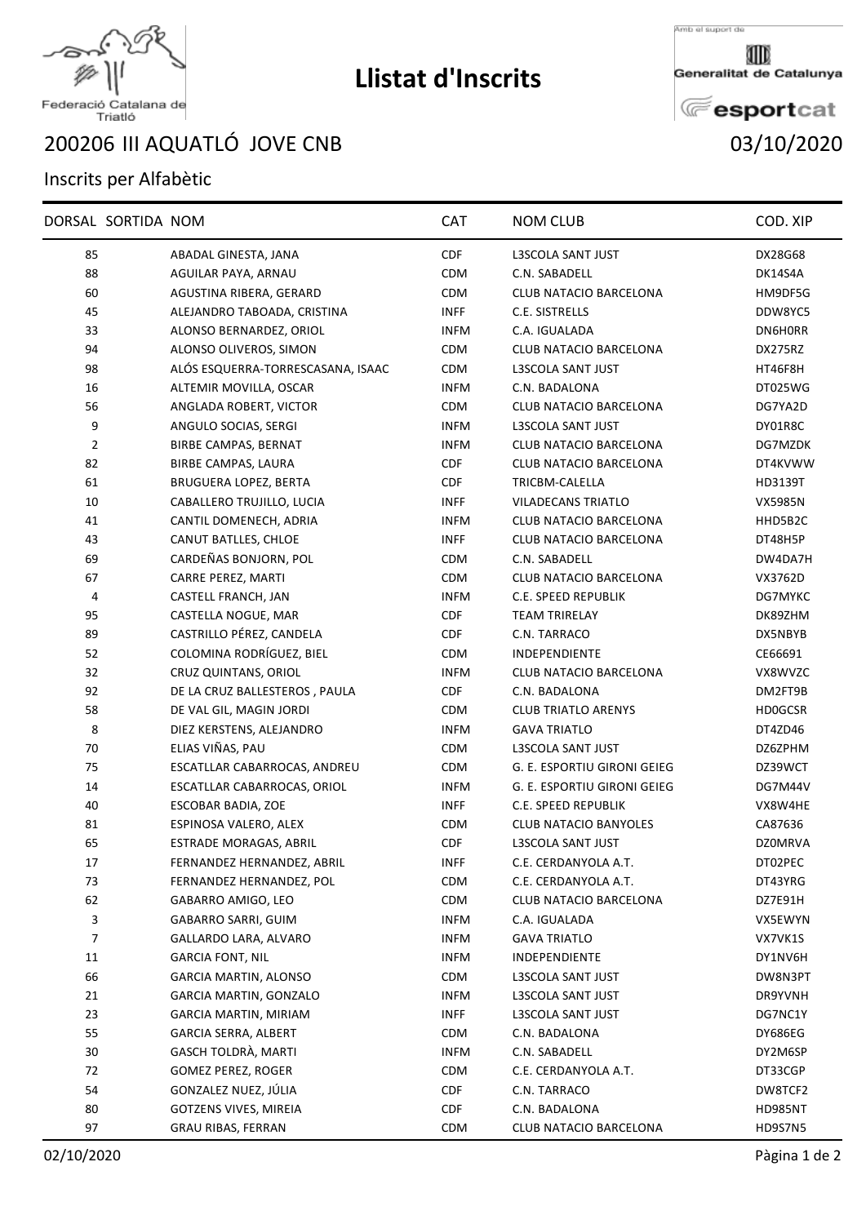

## **Llistat d'Inscrits**

Amb el suport de

Generalitat de Catalunya

**E**esportcat

## Federació Catalana de<br>Triatló

III AQUATLÓ JOVE CNB 03/10/2020

## Inscrits per Alfabètic

|                         | DORSAL SORTIDA NOM |                                   | <b>CAT</b>  | <b>NOM CLUB</b>              | COD. XIP       |
|-------------------------|--------------------|-----------------------------------|-------------|------------------------------|----------------|
| 85                      |                    | ABADAL GINESTA, JANA              | <b>CDF</b>  | L3SCOLA SANT JUST            | DX28G68        |
| 88                      |                    | AGUILAR PAYA, ARNAU               | <b>CDM</b>  | C.N. SABADELL                | DK14S4A        |
| 60                      |                    | AGUSTINA RIBERA, GERARD           | <b>CDM</b>  | CLUB NATACIO BARCELONA       | HM9DF5G        |
| 45                      |                    | ALEJANDRO TABOADA, CRISTINA       | <b>INFF</b> | C.E. SISTRELLS               | DDW8YC5        |
| 33                      |                    | ALONSO BERNARDEZ, ORIOL           | <b>INFM</b> | C.A. IGUALADA                | DN6H0RR        |
| 94                      |                    | ALONSO OLIVEROS, SIMON            | <b>CDM</b>  | CLUB NATACIO BARCELONA       | DX275RZ        |
| 98                      |                    | ALÓS ESQUERRA-TORRESCASANA, ISAAC | <b>CDM</b>  | <b>L3SCOLA SANT JUST</b>     | HT46F8H        |
| 16                      |                    | ALTEMIR MOVILLA, OSCAR            | <b>INFM</b> | C.N. BADALONA                | DT025WG        |
| 56                      |                    | ANGLADA ROBERT, VICTOR            | <b>CDM</b>  | CLUB NATACIO BARCELONA       | DG7YA2D        |
| 9                       |                    | ANGULO SOCIAS, SERGI              | <b>INFM</b> | <b>L3SCOLA SANT JUST</b>     | DY01R8C        |
| $\overline{2}$          |                    | <b>BIRBE CAMPAS, BERNAT</b>       | <b>INFM</b> | CLUB NATACIO BARCELONA       | DG7MZDK        |
| 82                      |                    | BIRBE CAMPAS, LAURA               | <b>CDF</b>  | CLUB NATACIO BARCELONA       | DT4KVWW        |
| 61                      |                    | BRUGUERA LOPEZ, BERTA             | <b>CDF</b>  | TRICBM-CALELLA               | HD3139T        |
| 10                      |                    | CABALLERO TRUJILLO, LUCIA         | <b>INFF</b> | <b>VILADECANS TRIATLO</b>    | <b>VX5985N</b> |
| 41                      |                    | CANTIL DOMENECH, ADRIA            | <b>INFM</b> | CLUB NATACIO BARCELONA       | HHD5B2C        |
| 43                      |                    | CANUT BATLLES, CHLOE              | <b>INFF</b> | CLUB NATACIO BARCELONA       | DT48H5P        |
| 69                      |                    | CARDEÑAS BONJORN, POL             | <b>CDM</b>  | C.N. SABADELL                | DW4DA7H        |
| 67                      |                    | CARRE PEREZ, MARTI                | <b>CDM</b>  | CLUB NATACIO BARCELONA       | VX3762D        |
| $\overline{\mathbf{4}}$ |                    | CASTELL FRANCH, JAN               | <b>INFM</b> | C.E. SPEED REPUBLIK          | DG7MYKC        |
| 95                      |                    | CASTELLA NOGUE, MAR               | <b>CDF</b>  | <b>TEAM TRIRELAY</b>         | DK89ZHM        |
| 89                      |                    | CASTRILLO PÉREZ, CANDELA          | <b>CDF</b>  | C.N. TARRACO                 | DX5NBYB        |
| 52                      |                    | COLOMINA RODRÍGUEZ, BIEL          | <b>CDM</b>  | <b>INDEPENDIENTE</b>         | CE66691        |
| 32                      |                    | CRUZ QUINTANS, ORIOL              | <b>INFM</b> | CLUB NATACIO BARCELONA       | VX8WVZC        |
| 92                      |                    | DE LA CRUZ BALLESTEROS, PAULA     | CDF         | C.N. BADALONA                | DM2FT9B        |
| 58                      |                    | DE VAL GIL, MAGIN JORDI           | <b>CDM</b>  | <b>CLUB TRIATLO ARENYS</b>   | <b>HDOGCSR</b> |
| 8                       |                    | DIEZ KERSTENS, ALEJANDRO          | <b>INFM</b> | <b>GAVA TRIATLO</b>          | DT4ZD46        |
| 70                      |                    | ELIAS VIÑAS, PAU                  | <b>CDM</b>  | L3SCOLA SANT JUST            | DZ6ZPHM        |
| 75                      |                    | ESCATLLAR CABARROCAS, ANDREU      | <b>CDM</b>  | G. E. ESPORTIU GIRONI GEIEG  | DZ39WCT        |
| 14                      |                    | ESCATLLAR CABARROCAS, ORIOL       | <b>INFM</b> | G. E. ESPORTIU GIRONI GEIEG  | DG7M44V        |
| 40                      |                    | ESCOBAR BADIA, ZOE                | <b>INFF</b> | C.E. SPEED REPUBLIK          | VX8W4HE        |
| 81                      |                    | ESPINOSA VALERO, ALEX             | <b>CDM</b>  | <b>CLUB NATACIO BANYOLES</b> | CA87636        |
| 65                      |                    | ESTRADE MORAGAS, ABRIL            | CDF         | L3SCOLA SANT JUST            | <b>DZ0MRVA</b> |
| 17                      |                    | FERNANDEZ HERNANDEZ, ABRIL        | <b>INFF</b> | C.E. CERDANYOLA A.T.         | DT02PEC        |
| 73                      |                    | FERNANDEZ HERNANDEZ, POL          | CDM         | C.E. CERDANYOLA A.T.         | DT43YRG        |
| 62                      |                    | GABARRO AMIGO, LEO                | <b>CDM</b>  | CLUB NATACIO BARCELONA       | DZ7E91H        |
| 3                       |                    | GABARRO SARRI, GUIM               | <b>INFM</b> | C.A. IGUALADA                | VX5EWYN        |
| 7                       |                    | GALLARDO LARA, ALVARO             | <b>INFM</b> | <b>GAVA TRIATLO</b>          | VX7VK1S        |
| 11                      |                    | <b>GARCIA FONT, NIL</b>           | <b>INFM</b> | <b>INDEPENDIENTE</b>         | DY1NV6H        |
| 66                      |                    | <b>GARCIA MARTIN, ALONSO</b>      | CDM         | L3SCOLA SANT JUST            | DW8N3PT        |
| 21                      |                    | GARCIA MARTIN, GONZALO            | <b>INFM</b> | L3SCOLA SANT JUST            | DR9YVNH        |
| 23                      |                    | <b>GARCIA MARTIN, MIRIAM</b>      | <b>INFF</b> | L3SCOLA SANT JUST            | DG7NC1Y        |
| 55                      |                    | <b>GARCIA SERRA, ALBERT</b>       | <b>CDM</b>  | C.N. BADALONA                | DY686EG        |
| 30                      |                    | GASCH TOLDRÀ, MARTI               | <b>INFM</b> | C.N. SABADELL                | DY2M6SP        |
| 72                      |                    | GOMEZ PEREZ, ROGER                | <b>CDM</b>  | C.E. CERDANYOLA A.T.         | DT33CGP        |
| 54                      |                    | GONZALEZ NUEZ, JÚLIA              | <b>CDF</b>  | C.N. TARRACO                 | DW8TCF2        |
| 80                      |                    | <b>GOTZENS VIVES, MIREIA</b>      | <b>CDF</b>  | C.N. BADALONA                | HD985NT        |
| 97                      |                    | GRAU RIBAS, FERRAN                | <b>CDM</b>  | CLUB NATACIO BARCELONA       | HD9S7N5        |